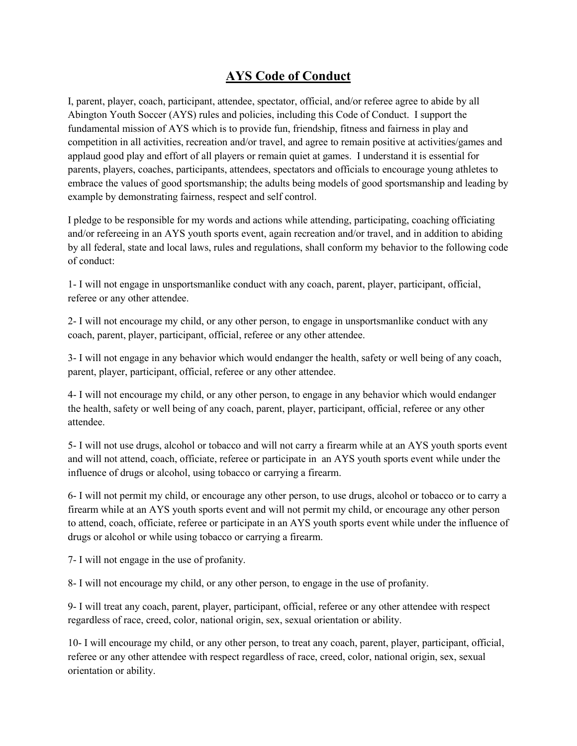## **AYS Code of Conduct**

I, parent, player, coach, participant, attendee, spectator, official, and/or referee agree to abide by all Abington Youth Soccer (AYS) rules and policies, including this Code of Conduct. I support the fundamental mission of AYS which is to provide fun, friendship, fitness and fairness in play and competition in all activities, recreation and/or travel, and agree to remain positive at activities/games and applaud good play and effort of all players or remain quiet at games. I understand it is essential for parents, players, coaches, participants, attendees, spectators and officials to encourage young athletes to embrace the values of good sportsmanship; the adults being models of good sportsmanship and leading by example by demonstrating fairness, respect and self control.

I pledge to be responsible for my words and actions while attending, participating, coaching officiating and/or refereeing in an AYS youth sports event, again recreation and/or travel, and in addition to abiding by all federal, state and local laws, rules and regulations, shall conform my behavior to the following code of conduct:

1- I will not engage in unsportsmanlike conduct with any coach, parent, player, participant, official, referee or any other attendee.

2- I will not encourage my child, or any other person, to engage in unsportsmanlike conduct with any coach, parent, player, participant, official, referee or any other attendee.

3- I will not engage in any behavior which would endanger the health, safety or well being of any coach, parent, player, participant, official, referee or any other attendee.

4- I will not encourage my child, or any other person, to engage in any behavior which would endanger the health, safety or well being of any coach, parent, player, participant, official, referee or any other attendee.

5- I will not use drugs, alcohol or tobacco and will not carry a firearm while at an AYS youth sports event and will not attend, coach, officiate, referee or participate in an AYS youth sports event while under the influence of drugs or alcohol, using tobacco or carrying a firearm.

6- I will not permit my child, or encourage any other person, to use drugs, alcohol or tobacco or to carry a firearm while at an AYS youth sports event and will not permit my child, or encourage any other person to attend, coach, officiate, referee or participate in an AYS youth sports event while under the influence of drugs or alcohol or while using tobacco or carrying a firearm.

7- I will not engage in the use of profanity.

8- I will not encourage my child, or any other person, to engage in the use of profanity.

9- I will treat any coach, parent, player, participant, official, referee or any other attendee with respect regardless of race, creed, color, national origin, sex, sexual orientation or ability.

10- I will encourage my child, or any other person, to treat any coach, parent, player, participant, official, referee or any other attendee with respect regardless of race, creed, color, national origin, sex, sexual orientation or ability.